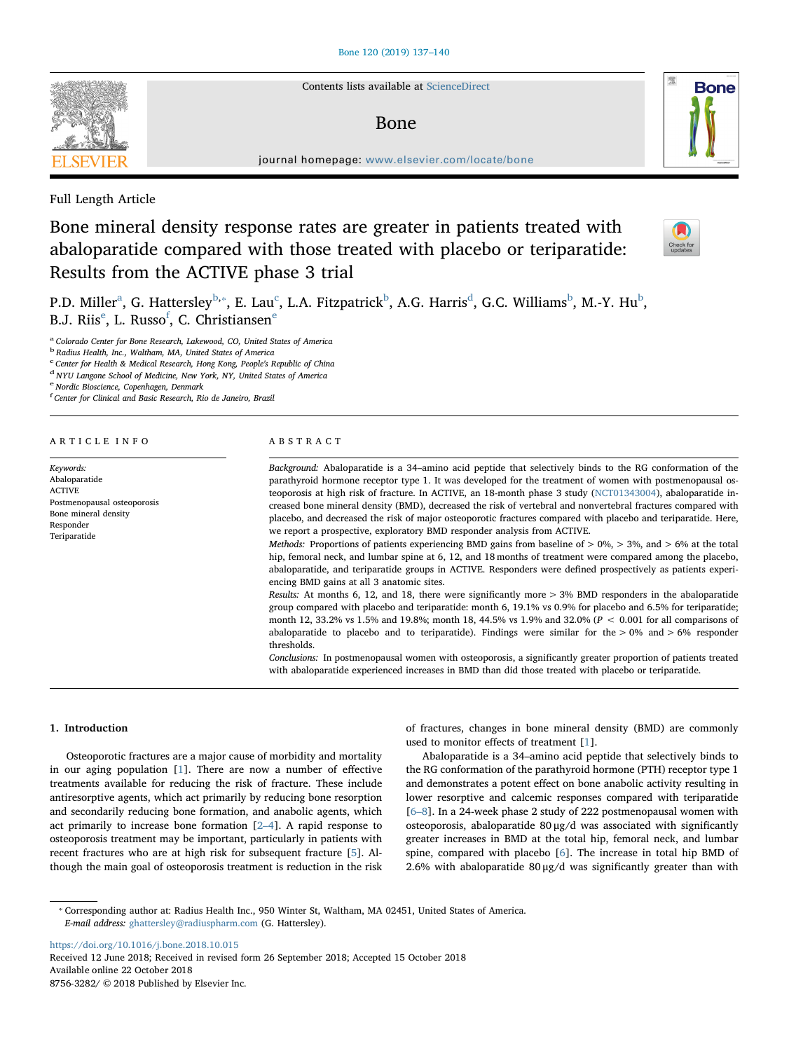Contents lists available at [ScienceDirect](http://www.sciencedirect.com/science/journal/87563282)

## Bone

journal homepage: [www.elsevier.com/locate/bone](https://www.elsevier.com/locate/bone)

Full Length Article

# Bone mineral density response rates are greater in patients treated with abaloparatide compared with those treated with placebo or teriparatide: Results from the ACTIVE phase 3 trial



**Bone** 

P.D. Miller $^{\rm a}$  $^{\rm a}$  $^{\rm a}$ , G. Hattersley $^{\rm b, *}$  $^{\rm b, *}$  $^{\rm b, *}$ , E. Lau $^{\rm c}$  $^{\rm c}$  $^{\rm c}$ , L.A. Fitzpatrick $^{\rm b}$  $^{\rm b}$  $^{\rm b}$ , A.G. Harris $^{\rm d}$  $^{\rm d}$  $^{\rm d}$ , G.C. Williams $^{\rm b}$ , M.-Y. Hu $^{\rm b}$ , B.J. Riis<sup>[e](#page-0-5)</sup>, L. Russo<sup>[f](#page-0-6)</sup>, C. Christiansen<sup>e</sup>

ABSTRACT

<span id="page-0-0"></span><sup>a</sup> Colorado Center for Bone Research, Lakewood, CO, United States of America

<span id="page-0-1"></span><sup>b</sup> Radius Health, Inc., Waltham, MA, United States of America

<span id="page-0-3"></span><sup>c</sup> Center for Health & Medical Research, Hong Kong, People's Republic of China

<span id="page-0-4"></span><sup>d</sup> NYU Langone School of Medicine, New York, NY, United States of America

<span id="page-0-5"></span><sup>e</sup> Nordic Bioscience, Copenhagen, Denmark

<span id="page-0-6"></span>f Center for Clinical and Basic Research, Rio de Janeiro, Brazil

#### ARTICLE INFO

#### Keywords: Abaloparatide ACTIVE Postmenopausal osteoporosis Bone mineral density Responder Teriparatide

Background: Abaloparatide is a 34–amino acid peptide that selectively binds to the RG conformation of the parathyroid hormone receptor type 1. It was developed for the treatment of women with postmenopausal osteoporosis at high risk of fracture. In ACTIVE, an 18-month phase 3 study [\(NCT01343004\)](http://clinicaltrials.gov/show/NCT01343004), abaloparatide increased bone mineral density (BMD), decreased the risk of vertebral and nonvertebral fractures compared with placebo, and decreased the risk of major osteoporotic fractures compared with placebo and teriparatide. Here, we report a prospective, exploratory BMD responder analysis from ACTIVE.

Methods: Proportions of patients experiencing BMD gains from baseline of  $> 0\%$ ,  $> 3\%$ , and  $> 6\%$  at the total hip, femoral neck, and lumbar spine at 6, 12, and 18 months of treatment were compared among the placebo, abaloparatide, and teriparatide groups in ACTIVE. Responders were defined prospectively as patients experiencing BMD gains at all 3 anatomic sites.

Results: At months 6, 12, and 18, there were significantly more > 3% BMD responders in the abaloparatide group compared with placebo and teriparatide: month 6, 19.1% vs 0.9% for placebo and 6.5% for teriparatide; month 12, 33.2% vs 1.5% and 19.8%; month 18, 44.5% vs 1.9% and 32.0% (P < 0.001 for all comparisons of abaloparatide to placebo and to teriparatide). Findings were similar for the  $> 0\%$  and  $> 6\%$  responder thresholds.

Conclusions: In postmenopausal women with osteoporosis, a significantly greater proportion of patients treated with abaloparatide experienced increases in BMD than did those treated with placebo or teriparatide.

## 1. Introduction

Osteoporotic fractures are a major cause of morbidity and mortality in our aging population [\[1\]](#page-3-0). There are now a number of effective treatments available for reducing the risk of fracture. These include antiresorptive agents, which act primarily by reducing bone resorption and secondarily reducing bone formation, and anabolic agents, which act primarily to increase bone formation [\[2](#page-3-1)–4]. A rapid response to osteoporosis treatment may be important, particularly in patients with recent fractures who are at high risk for subsequent fracture [\[5\]](#page-3-2). Although the main goal of osteoporosis treatment is reduction in the risk of fractures, changes in bone mineral density (BMD) are commonly used to monitor effects of treatment [\[1\]](#page-3-0).

Abaloparatide is a 34–amino acid peptide that selectively binds to the RG conformation of the parathyroid hormone (PTH) receptor type 1 and demonstrates a potent effect on bone anabolic activity resulting in lower resorptive and calcemic responses compared with teriparatide [6–[8\]](#page-3-3). In a 24-week phase 2 study of 222 postmenopausal women with osteoporosis, abaloparatide 80 μg/d was associated with significantly greater increases in BMD at the total hip, femoral neck, and lumbar spine, compared with placebo [[6](#page-3-3)]. The increase in total hip BMD of 2.6% with abaloparatide  $80 \mu g/d$  was significantly greater than with

<span id="page-0-2"></span>⁎ Corresponding author at: Radius Health Inc., 950 Winter St, Waltham, MA 02451, United States of America. E-mail address: [ghattersley@radiuspharm.com](mailto:ghattersley@radiuspharm.com) (G. Hattersley).

<https://doi.org/10.1016/j.bone.2018.10.015> Received 12 June 2018; Received in revised form 26 September 2018; Accepted 15 October 2018 Available online 22 October 2018 8756-3282/ © 2018 Published by Elsevier Inc.

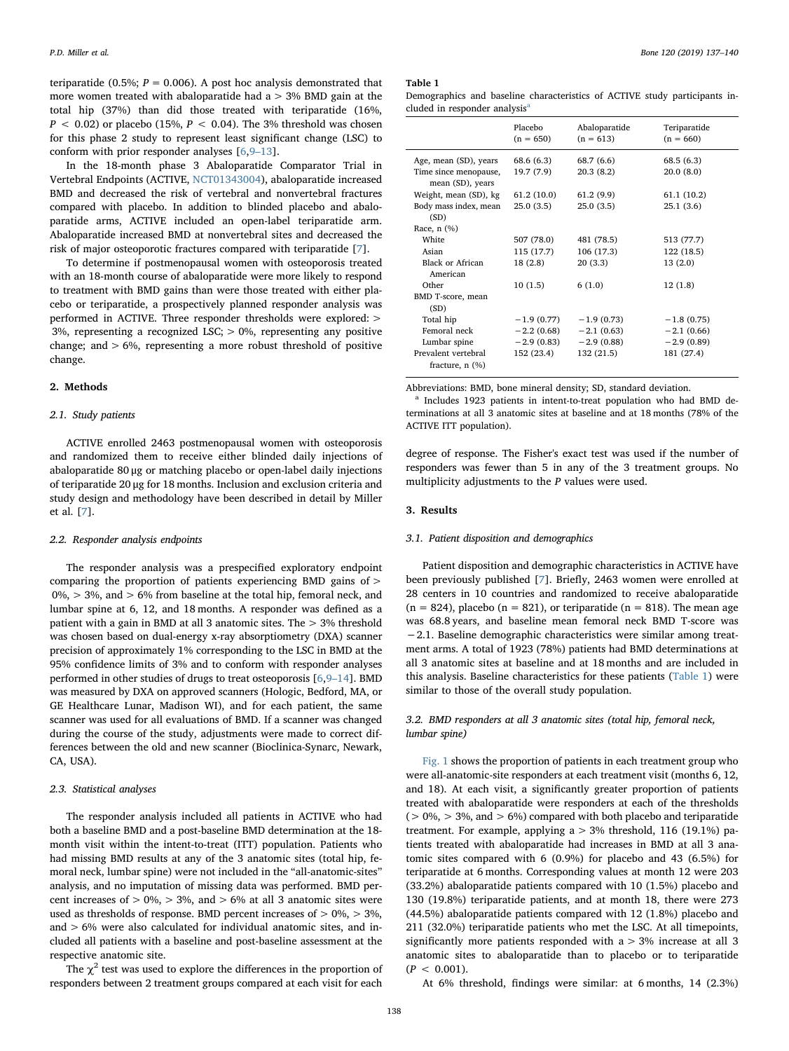teriparatide (0.5%;  $P = 0.006$ ). A post hoc analysis demonstrated that more women treated with abaloparatide had  $a > 3%$  BMD gain at the total hip (37%) than did those treated with teriparatide (16%,  $P < 0.02$ ) or placebo (15%,  $P < 0.04$ ). The 3% threshold was chosen for this phase 2 study to represent least significant change (LSC) to conform with prior responder analyses [[6](#page-3-3),9–[13\]](#page-3-4).

In the 18-month phase 3 Abaloparatide Comparator Trial in Vertebral Endpoints (ACTIVE, [NCT01343004](http://clinicaltrials.gov/show/NCT01343004)), abaloparatide increased BMD and decreased the risk of vertebral and nonvertebral fractures compared with placebo. In addition to blinded placebo and abaloparatide arms, ACTIVE included an open-label teriparatide arm. Abaloparatide increased BMD at nonvertebral sites and decreased the risk of major osteoporotic fractures compared with teriparatide [\[7\]](#page-3-5).

To determine if postmenopausal women with osteoporosis treated with an 18-month course of abaloparatide were more likely to respond to treatment with BMD gains than were those treated with either placebo or teriparatide, a prospectively planned responder analysis was performed in ACTIVE. Three responder thresholds were explored: > 3%, representing a recognized LSC;  $> 0$ %, representing any positive change; and  $> 6\%$ , representing a more robust threshold of positive change.

## 2. Methods

## 2.1. Study patients

ACTIVE enrolled 2463 postmenopausal women with osteoporosis and randomized them to receive either blinded daily injections of abaloparatide 80 μg or matching placebo or open-label daily injections of teriparatide 20 μg for 18 months. Inclusion and exclusion criteria and study design and methodology have been described in detail by Miller et al. [[7](#page-3-5)].

## 2.2. Responder analysis endpoints

The responder analysis was a prespecified exploratory endpoint comparing the proportion of patients experiencing BMD gains of >  $0\%$ ,  $> 3\%$ , and  $> 6\%$  from baseline at the total hip, femoral neck, and lumbar spine at 6, 12, and 18 months. A responder was defined as a patient with a gain in BMD at all 3 anatomic sites. The > 3% threshold was chosen based on dual-energy x-ray absorptiometry (DXA) scanner precision of approximately 1% corresponding to the LSC in BMD at the 95% confidence limits of 3% and to conform with responder analyses performed in other studies of drugs to treat osteoporosis [[6](#page-3-3),9–[14\]](#page-3-4). BMD was measured by DXA on approved scanners (Hologic, Bedford, MA, or GE Healthcare Lunar, Madison WI), and for each patient, the same scanner was used for all evaluations of BMD. If a scanner was changed during the course of the study, adjustments were made to correct differences between the old and new scanner (Bioclinica-Synarc, Newark, CA, USA).

## 2.3. Statistical analyses

The responder analysis included all patients in ACTIVE who had both a baseline BMD and a post-baseline BMD determination at the 18 month visit within the intent-to-treat (ITT) population. Patients who had missing BMD results at any of the 3 anatomic sites (total hip, femoral neck, lumbar spine) were not included in the "all-anatomic-sites" analysis, and no imputation of missing data was performed. BMD percent increases of  $> 0\%$ ,  $> 3\%$ , and  $> 6\%$  at all 3 anatomic sites were used as thresholds of response. BMD percent increases of  $> 0\%$ ,  $> 3\%$ , and > 6% were also calculated for individual anatomic sites, and included all patients with a baseline and post-baseline assessment at the respective anatomic site.

The  $\chi^2$  test was used to explore the differences in the proportion of responders between 2 treatment groups compared at each visit for each

#### <span id="page-1-0"></span>Table 1

Demographics and baseline characteristics of ACTIVE study participants included in responder [a](#page-1-1)nalysis<sup>a</sup>

|                                           | Placebo<br>$(n = 650)$ | Abaloparatide<br>$(n = 613)$ | Teriparatide<br>$(n = 660)$ |
|-------------------------------------------|------------------------|------------------------------|-----------------------------|
| Age, mean (SD), years                     | 68.6 (6.3)             | 68.7 (6.6)                   | 68.5(6.3)                   |
| Time since menopause,<br>mean (SD), years | 19.7 (7.9)             | 20.3(8.2)                    | 20.0(8.0)                   |
| Weight, mean (SD), kg                     | 61.2(10.0)             | 61.2(9.9)                    | 61.1 (10.2)                 |
| Body mass index, mean                     | 25.0(3.5)              | 25.0(3.5)                    | 25.1(3.6)                   |
| (SD)                                      |                        |                              |                             |
| Race, n (%)                               |                        |                              |                             |
| White                                     | 507 (78.0)             | 481 (78.5)                   | 513 (77.7)                  |
| Asian                                     | 115 (17.7)             | 106 (17.3)                   | 122 (18.5)                  |
| Black or African                          | 18(2.8)                | 20(3.3)                      | 13(2.0)                     |
| American                                  |                        |                              |                             |
| Other                                     | 10(1.5)                | 6(1.0)                       | 12(1.8)                     |
| BMD T-score, mean                         |                        |                              |                             |
| (SD)                                      |                        |                              |                             |
| Total hip                                 | $-1.9(0.77)$           | $-1.9(0.73)$                 | $-1.8(0.75)$                |
| Femoral neck                              | $-2.2(0.68)$           | $-2.1(0.63)$                 | $-2.1(0.66)$                |
| Lumbar spine                              | $-2.9(0.83)$           | $-2.9(0.88)$                 | $-2.9(0.89)$                |
| Prevalent vertebral                       | 152 (23.4)             | 132 (21.5)                   | 181 (27.4)                  |
| fracture, $n$ $(\%)$                      |                        |                              |                             |

Abbreviations: BMD, bone mineral density; SD, standard deviation.

<span id="page-1-1"></span><sup>a</sup> Includes 1923 patients in intent-to-treat population who had BMD determinations at all 3 anatomic sites at baseline and at 18 months (78% of the ACTIVE ITT population).

degree of response. The Fisher's exact test was used if the number of responders was fewer than 5 in any of the 3 treatment groups. No multiplicity adjustments to the P values were used.

#### 3. Results

#### 3.1. Patient disposition and demographics

Patient disposition and demographic characteristics in ACTIVE have been previously published [[7](#page-3-5)]. Briefly, 2463 women were enrolled at 28 centers in 10 countries and randomized to receive abaloparatide  $(n = 824)$ , placebo  $(n = 821)$ , or teriparatide  $(n = 818)$ . The mean age was 68.8 years, and baseline mean femoral neck BMD T-score was −2.1. Baseline demographic characteristics were similar among treatment arms. A total of 1923 (78%) patients had BMD determinations at all 3 anatomic sites at baseline and at 18 months and are included in this analysis. Baseline characteristics for these patients ([Table 1\)](#page-1-0) were similar to those of the overall study population.

## 3.2. BMD responders at all 3 anatomic sites (total hip, femoral neck, lumbar spine)

[Fig. 1](#page-2-0) shows the proportion of patients in each treatment group who were all-anatomic-site responders at each treatment visit (months 6, 12, and 18). At each visit, a significantly greater proportion of patients treated with abaloparatide were responders at each of the thresholds  $(> 0\%, > 3\%, \text{ and } > 6\%)$  compared with both placebo and teriparatide treatment. For example, applying  $a > 3%$  threshold, 116 (19.1%) patients treated with abaloparatide had increases in BMD at all 3 anatomic sites compared with 6 (0.9%) for placebo and 43 (6.5%) for teriparatide at 6 months. Corresponding values at month 12 were 203 (33.2%) abaloparatide patients compared with 10 (1.5%) placebo and 130 (19.8%) teriparatide patients, and at month 18, there were 273 (44.5%) abaloparatide patients compared with 12 (1.8%) placebo and 211 (32.0%) teriparatide patients who met the LSC. At all timepoints, significantly more patients responded with  $a > 3\%$  increase at all 3 anatomic sites to abaloparatide than to placebo or to teriparatide  $(P < 0.001)$ .

At 6% threshold, findings were similar: at 6 months, 14 (2.3%)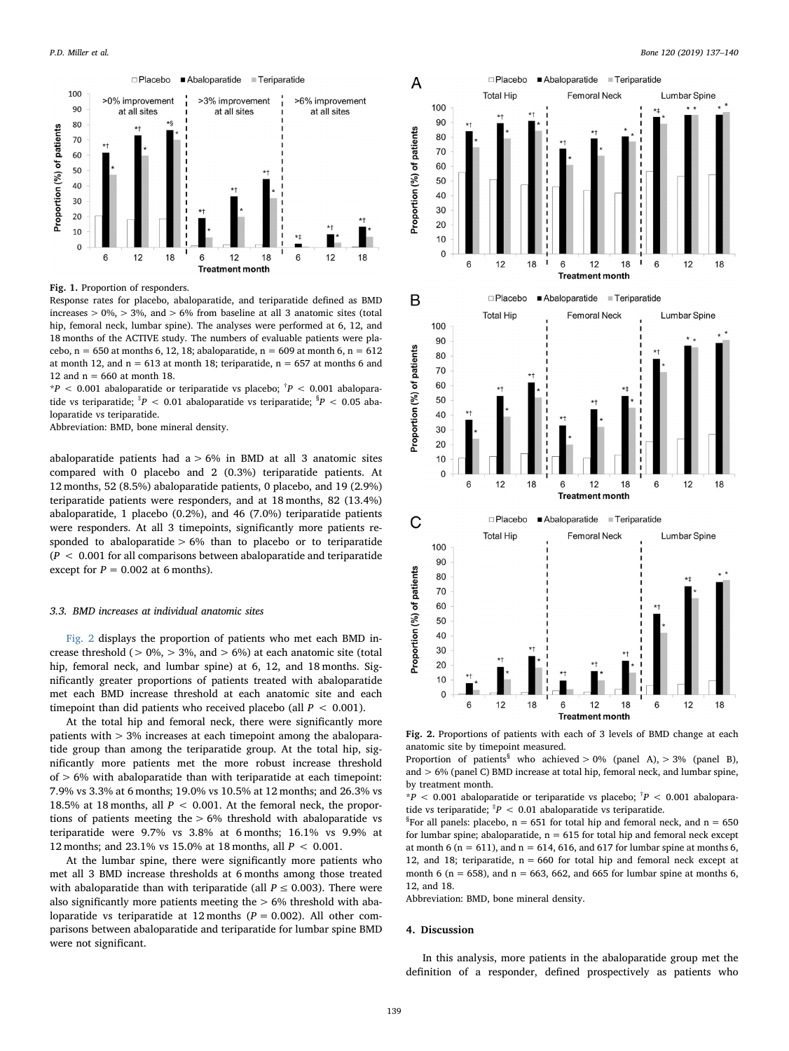<span id="page-2-0"></span>

Fig. 1. Proportion of responders.

Response rates for placebo, abaloparatide, and teriparatide defined as BMD increases  $> 0\% > 3\%$ , and  $> 6\%$  from baseline at all 3 anatomic sites (total hip, femoral neck, lumbar spine). The analyses were performed at 6, 12, and 18 months of the ACTIVE study. The numbers of evaluable patients were placebo,  $n = 650$  at months 6, 12, 18; abaloparatide,  $n = 609$  at month 6,  $n = 612$ at month 12, and  $n = 613$  at month 18; teriparatide,  $n = 657$  at months 6 and 12 and  $n = 660$  at month 18.

 $*P < 0.001$  abaloparatide or teriparatide vs placebo;  $*P < 0.001$  abaloparatide vs teriparatide;  $^{\ddagger}P$  < 0.01 abaloparatide vs teriparatide;  $^{\$}P$  < 0.05 abaloparatide vs teriparatide.

Abbreviation: BMD, bone mineral density.

abaloparatide patients had  $a > 6\%$  in BMD at all 3 anatomic sites compared with 0 placebo and 2 (0.3%) teriparatide patients. At 12 months, 52 (8.5%) abaloparatide patients, 0 placebo, and 19 (2.9%) teriparatide patients were responders, and at 18 months, 82 (13.4%) abaloparatide, 1 placebo (0.2%), and 46 (7.0%) teriparatide patients were responders. At all 3 timepoints, significantly more patients responded to abaloparatide  $> 6\%$  than to placebo or to teriparatide  $(P < 0.001$  for all comparisons between abaloparatide and teriparatide except for  $P = 0.002$  at 6 months).

## 3.3. BMD increases at individual anatomic sites

[Fig. 2](#page-2-1) displays the proportion of patients who met each BMD increase threshold ( $> 0\%$ ,  $> 3\%$ , and  $> 6\%$ ) at each anatomic site (total hip, femoral neck, and lumbar spine) at 6, 12, and 18 months. Significantly greater proportions of patients treated with abaloparatide met each BMD increase threshold at each anatomic site and each timepoint than did patients who received placebo (all  $P < 0.001$ ).

At the total hip and femoral neck, there were significantly more patients with > 3% increases at each timepoint among the abaloparatide group than among the teriparatide group. At the total hip, significantly more patients met the more robust increase threshold of > 6% with abaloparatide than with teriparatide at each timepoint: 7.9% vs 3.3% at 6 months; 19.0% vs 10.5% at 12 months; and 26.3% vs 18.5% at 18 months, all  $P < 0.001$ . At the femoral neck, the proportions of patients meeting the > 6% threshold with abaloparatide vs teriparatide were 9.7% vs 3.8% at 6 months; 16.1% vs 9.9% at 12 months; and 23.1% vs 15.0% at 18 months, all P < 0.001.

At the lumbar spine, there were significantly more patients who met all 3 BMD increase thresholds at 6 months among those treated with abaloparatide than with teriparatide (all  $P \le 0.003$ ). There were also significantly more patients meeting the  $> 6\%$  threshold with abaloparatide vs teriparatide at 12 months ( $P = 0.002$ ). All other comparisons between abaloparatide and teriparatide for lumbar spine BMD were not significant.

<span id="page-2-1"></span>

Fig. 2. Proportions of patients with each of 3 levels of BMD change at each anatomic site by timepoint measured.

Proportion of patients<sup>§</sup> who achieved > 0% (panel A), > 3% (panel B), and > 6% (panel C) BMD increase at total hip, femoral neck, and lumbar spine, by treatment month.

 $*P < 0.001$  abaloparatide or teriparatide vs placebo;  $^{\dagger}P < 0.001$  abaloparatide vs teriparatide;  $^{*}P$  < 0.01 abaloparatide vs teriparatide.

<sup>§</sup>For all panels: placebo,  $n = 651$  for total hip and femoral neck, and  $n = 650$ for lumbar spine; abaloparatide,  $n = 615$  for total hip and femoral neck except at month 6 ( $n = 611$ ), and  $n = 614$ , 616, and 617 for lumbar spine at months 6, 12, and 18; teriparatide,  $n = 660$  for total hip and femoral neck except at month 6 ( $n = 658$ ), and  $n = 663$ , 662, and 665 for lumbar spine at months 6, 12, and 18.

Abbreviation: BMD, bone mineral density.

#### 4. Discussion

In this analysis, more patients in the abaloparatide group met the definition of a responder, defined prospectively as patients who